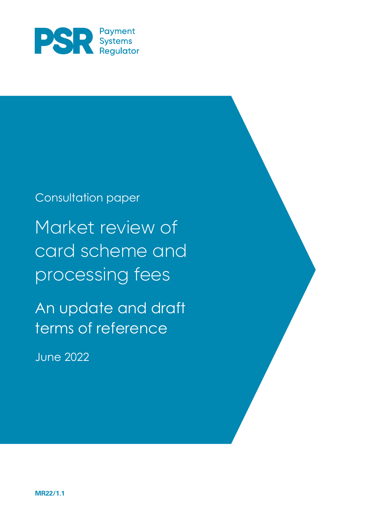

# Consultation paper Market review of card scheme and processing fees

An update and draft terms of reference

June 2022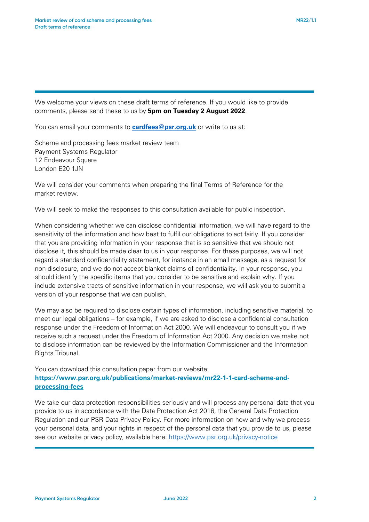We welcome your views on these draft terms of reference. If you would like to provide comments, please send these to us by **5pm on Tuesday 2 August 2022**.

You can email your comments to <mark>[cardfees@psr.org.uk](mailto:XXXXX@psr.org.uk)</mark> or write to us at:

Scheme and processing fees market review team Payment Systems Regulator 12 Endeavour Square London E20 1JN

We will consider your comments when preparing the final Terms of Reference for the market review.

We will seek to make the responses to this consultation available for public inspection.

When considering whether we can disclose confidential information, we will have regard to the sensitivity of the information and how best to fulfil our obligations to act fairly. If you consider that you are providing information in your response that is so sensitive that we should not disclose it, this should be made clear to us in your response. For these purposes, we will not regard a standard confidentiality statement, for instance in an email message, as a request for non-disclosure, and we do not accept blanket claims of confidentiality. In your response, you should identify the specific items that you consider to be sensitive and explain why. If you include extensive tracts of sensitive information in your response, we will ask you to submit a version of your response that we can publish.

We may also be required to disclose certain types of information, including sensitive material, to meet our legal obligations – for example, if we are asked to disclose a confidential consultation response under the Freedom of Information Act 2000. We will endeavour to consult you if we receive such a request under the Freedom of Information Act 2000. Any decision we make not to disclose information can be reviewed by the Information Commissioner and the Information Rights Tribunal.

You can download this consultation paper from our website: **[https://www.psr.org.uk/publications/market-reviews/mr22-1-1-card-scheme-and](https://www.psr.org.uk/publications/market-reviews/mr22-1-1-card-scheme-and-processing-fees)[processing-fees](https://www.psr.org.uk/publications/market-reviews/mr22-1-1-card-scheme-and-processing-fees)**

We take our data protection responsibilities seriously and will process any personal data that you provide to us in accordance with the Data Protection Act 2018, the General Data Protection Regulation and our PSR Data Privacy Policy. For more information on how and why we process your personal data, and your rights in respect of the personal data that you provide to us, please see our website privacy policy, available here:<https://www.psr.org.uk/privacy-notice>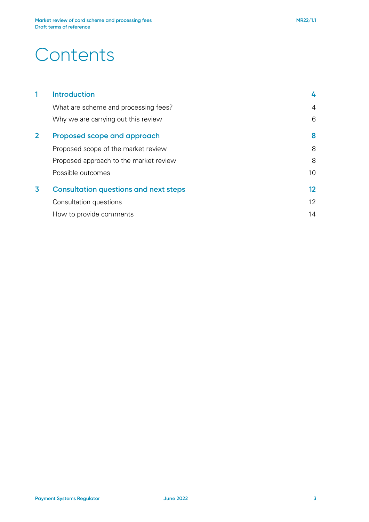# **Contents**

|                | <b>Introduction</b>                          | 4  |
|----------------|----------------------------------------------|----|
|                | What are scheme and processing fees?         | 4  |
|                | Why we are carrying out this review          | 6  |
| $\overline{2}$ | Proposed scope and approach                  | 8  |
|                | Proposed scope of the market review          | 8  |
|                | Proposed approach to the market review       | 8  |
|                | Possible outcomes                            | 10 |
| 3              | <b>Consultation questions and next steps</b> | 12 |
|                | Consultation questions                       | 12 |
|                | How to provide comments                      | 14 |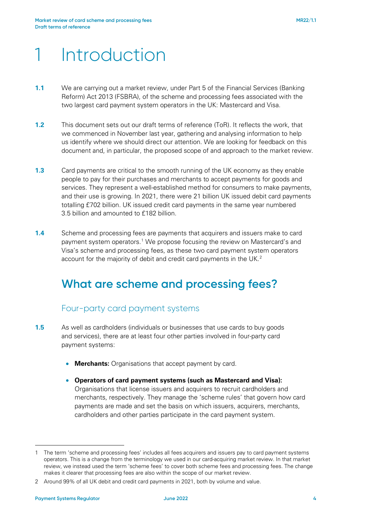# 1 Introduction

- **1.1** We are carrying out a market review, under Part 5 of the Financial Services (Banking Reform) Act 2013 (FSBRA), of the scheme and processing fees associated with the two largest card payment system operators in the UK: Mastercard and Visa.
- **1.2** This document sets out our draft terms of reference (ToR). It reflects the work, that we commenced in November last year, gathering and analysing information to help us identify where we should direct our attention. We are looking for feedback on this document and, in particular, the proposed scope of and approach to the market review.
- **1.3** Card payments are critical to the smooth running of the UK economy as they enable people to pay for their purchases and merchants to accept payments for goods and services. They represent a well-established method for consumers to make payments, and their use is growing. In 2021, there were 21 billion UK issued debit card payments totalling £702 billion. UK issued credit card payments in the same year numbered 3.5 billion and amounted to £182 billion.
- **1.4** Scheme and processing fees are payments that acquirers and issuers make to card payment system operators.[1](#page-3-0) We propose focusing the review on Mastercard's and Visa's scheme and processing fees, as these two card payment system operators account for the majority of debit and credit card payments in the UK.<sup>[2](#page-3-1)</sup>

# **What are scheme and processing fees?**

## Four-party card payment systems

- **1.5** As well as cardholders (individuals or businesses that use cards to buy goods and services), there are at least four other parties involved in four-party card payment systems:
	- **Merchants:** Organisations that accept payment by card.
	- **Operators of card payment systems (such as Mastercard and Visa):** Organisations that license issuers and acquirers to recruit cardholders and merchants, respectively. They manage the 'scheme rules' that govern how card payments are made and set the basis on which issuers, acquirers, merchants, cardholders and other parties participate in the card payment system.

<span id="page-3-0"></span><sup>1</sup> The term 'scheme and processing fees' includes all fees acquirers and issuers pay to card payment systems operators. This is a change from the terminology we used in our card-acquiring market review. In that market review, we instead used the term 'scheme fees' to cover both scheme fees and processing fees. The change makes it clearer that processing fees are also within the scope of our market review.

<span id="page-3-1"></span><sup>2</sup> Around 99% of all UK debit and credit card payments in 2021, both by volume and value.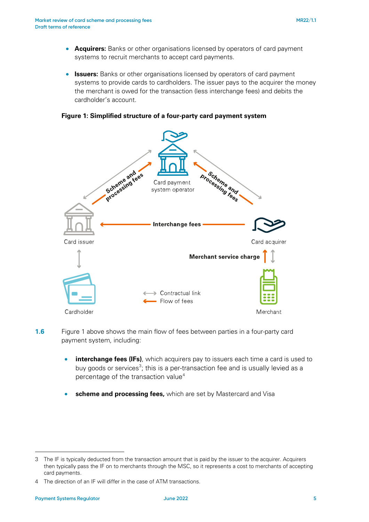- **Acquirers:** Banks or other organisations licensed by operators of card payment systems to recruit merchants to accept card payments.
- **Issuers:** Banks or other organisations licensed by operators of card payment systems to provide cards to cardholders. The issuer pays to the acquirer the money the merchant is owed for the transaction (less interchange fees) and debits the cardholder's account.

### **Figure 1: Simplified structure of a four-party card payment system**



- **1.6** Figure 1 above shows the main flow of fees between parties in a four-party card payment system, including:
	- **interchange fees (IFs)**, which acquirers pay to issuers each time a card is used to buy goods or services<sup>[3](#page-4-0)</sup>; this is a per-transaction fee and is usually levied as a percentage of the transaction value<sup>[4](#page-4-1)</sup>
	- **scheme and processing fees, which are set by Mastercard and Visa**

<span id="page-4-0"></span><sup>3</sup> The IF is typically deducted from the transaction amount that is paid by the issuer to the acquirer. Acquirers then typically pass the IF on to merchants through the MSC, so it represents a cost to merchants of accepting card payments.

<span id="page-4-1"></span><sup>4</sup> The direction of an IF will differ in the case of ATM transactions.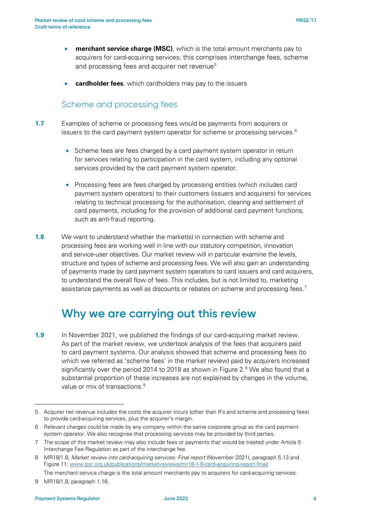- **merchant service charge (MSC)**, which is the total amount merchants pay to acquirers for card-acquiring services; this comprises interchange fees, scheme and processing fees and acquirer net revenue<sup>[5](#page-5-0)</sup>
- **cardholder fees**, which cardholders may pay to the issuers

### Scheme and processing fees

- **1.7** Examples of scheme or processing fees would be payments from acquirers or issuers to the card payment system operator for scheme or processing services.<sup>[6](#page-5-1)</sup>
	- Scheme fees are fees charged by a card payment system operator in return for services relating to participation in the card system, including any optional services provided by the card payment system operator.
	- Processing fees are fees charged by processing entities (which includes card payment system operators) to their customers (issuers and acquirers) for services relating to technical processing for the authorisation, clearing and settlement of card payments, including for the provision of additional card payment functions, such as anti-fraud reporting.
- **1.8** We want to understand whether the market(s) in connection with scheme and processing fees are working well in line with our statutory competition, innovation and service-user objectives. Our market review will in particular examine the levels, structure and types of scheme and processing fees. We will also gain an understanding of payments made by card payment system operators to card issuers and card acquirers, to understand the overall flow of fees. This includes, but is not limited to, marketing assistance payments as well as discounts or rebates on scheme and processing fees.<sup>[7](#page-5-2)</sup>

## **Why we are carrying out this review**

**1.9** In November 2021, we published the findings of our card-acquiring market review. As part of the market review, we undertook analysis of the fees that acquirers paid to card payment systems. Our analysis showed that scheme and processing fees (to which we referred as 'scheme fees' in the market review) paid by acquirers increased significantly over the period 2014 to 201[8](#page-5-3) as shown in Figure 2.<sup>8</sup> We also found that a substantial proportion of these increases are not explained by changes in the volume, value or mix of transactions.<sup>[9](#page-5-4)</sup>

<span id="page-5-0"></span><sup>5</sup> Acquirer net revenue includes the costs the acquirer incurs (other than IFs and scheme and processing fees) to provide card-acquiring services, plus the acquirer's margin.

<span id="page-5-1"></span><sup>6</sup> Relevant charges could be made by any company within the same corporate group as the card payment system operator. We also recognise that processing services may be provided by third parties.

<span id="page-5-2"></span><sup>7</sup> The scope of this market review may also include fees or payments that would be treated under Article 5 Interchange Fee Regulation as part of the interchange fee.

<span id="page-5-3"></span><sup>8</sup> MR18/1.8, *Market review into card-acquiring services: Final report* (November 2021), paragraph 5.13 and Figure 11: [www.psr.org.uk/publications/market-reviews/mr18-1-8-card-acquiring-report-final/](http://www.psr.org.uk/publications/market-reviews/mr18-1-8-card-acquiring-report-final/)

The merchant service charge is the total amount merchants pay to acquirers for card-acquiring services.

<span id="page-5-4"></span><sup>9</sup> MR18/1.8, paragraph 1.16.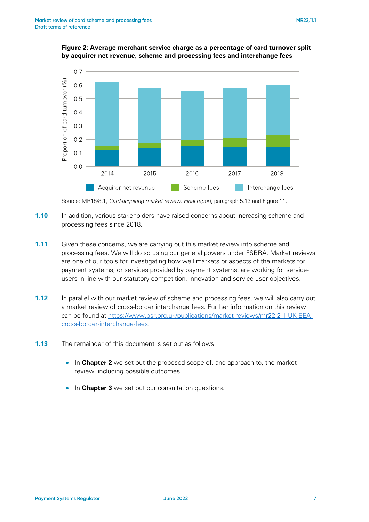

#### **Figure 2: Average merchant service charge as a percentage of card turnover split by acquirer net revenue, scheme and processing fees and interchange fees**

Source: MR18/8.1, *Card-acquiring market review: Final report*, paragraph 5.13 and Figure 11.

- **1.10** In addition, various stakeholders have raised concerns about increasing scheme and processing fees since 2018.
- **1.11** Given these concerns, we are carrying out this market review into scheme and processing fees. We will do so using our general powers under FSBRA. Market reviews are one of our tools for investigating how well markets or aspects of the markets for payment systems, or services provided by payment systems, are working for serviceusers in line with our statutory competition, innovation and service-user objectives.
- **1.12** In parallel with our market review of scheme and processing fees, we will also carry out a market review of cross-border interchange fees. Further information on this review can be found at [https://www.psr.org.uk/publications/market-reviews/mr22-2-1-UK-EEA](https://www.psr.org.uk/publications/market-reviews/mr22-2-1-UK-EEA-cross-border-interchange-fees)[cross-border-interchange-fees.](https://www.psr.org.uk/publications/market-reviews/mr22-2-1-UK-EEA-cross-border-interchange-fees)
- **1.13** The remainder of this document is set out as follows:
	- In **Chapter 2** we set out the proposed scope of, and approach to, the market review, including possible outcomes.
	- In **Chapter 3** we set out our consultation questions.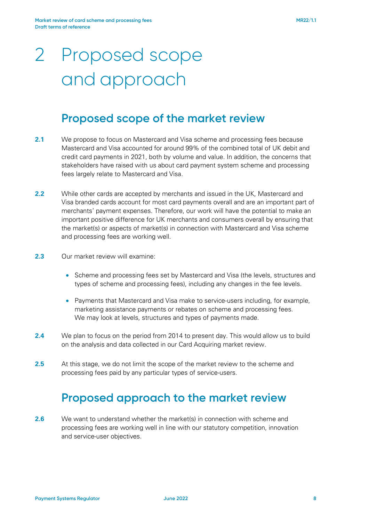# 2 Proposed scope and approach

## **Proposed scope of the market review**

- <span id="page-7-0"></span>**2.1** We propose to focus on Mastercard and Visa scheme and processing fees because Mastercard and Visa accounted for around 99% of the combined total of UK debit and credit card payments in 2021, both by volume and value. In addition, the concerns that stakeholders have raised with us about card payment system scheme and processing fees largely relate to Mastercard and Visa.
- **2.2** While other cards are accepted by merchants and issued in the UK, Mastercard and Visa branded cards account for most card payments overall and are an important part of merchants' payment expenses. Therefore, our work will have the potential to make an important positive difference for UK merchants and consumers overall by ensuring that the market(s) or aspects of market(s) in connection with Mastercard and Visa scheme and processing fees are working well.
- 2.3 Our market review will examine:
	- Scheme and processing fees set by Mastercard and Visa (the levels, structures and types of scheme and processing fees), including any changes in the fee levels.
	- Payments that Mastercard and Visa make to service-users including, for example, marketing assistance payments or rebates on scheme and processing fees. We may look at levels, structures and types of payments made.
- **2.4** We plan to focus on the period from 2014 to present day. This would allow us to build on the analysis and data collected in our Card Acquiring market review.
- **2.5** At this stage, we do not limit the scope of the market review to the scheme and processing fees paid by any particular types of service-users.

# **Proposed approach to the market review**

**2.6** We want to understand whether the market(s) in connection with scheme and processing fees are working well in line with our statutory competition, innovation and service-user objectives.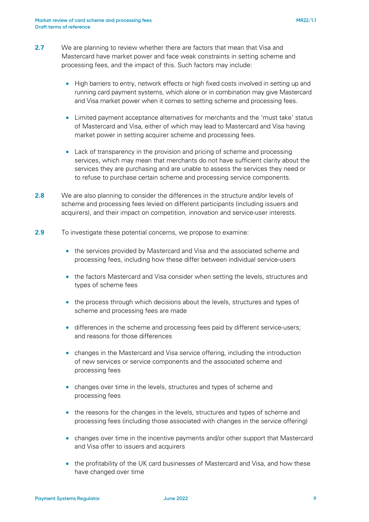- **2.7** We are planning to review whether there are factors that mean that Visa and Mastercard have market power and face weak constraints in setting scheme and processing fees, and the impact of this. Such factors may include:
	- High barriers to entry, network effects or high fixed costs involved in setting up and running card payment systems, which alone or in combination may give Mastercard and Visa market power when it comes to setting scheme and processing fees.
	- Limited payment acceptance alternatives for merchants and the 'must take' status of Mastercard and Visa, either of which may lead to Mastercard and Visa having market power in setting acquirer scheme and processing fees.
	- Lack of transparency in the provision and pricing of scheme and processing services, which may mean that merchants do not have sufficient clarity about the services they are purchasing and are unable to assess the services they need or to refuse to purchase certain scheme and processing service components.
- **2.8** We are also planning to consider the differences in the structure and/or levels of scheme and processing fees levied on different participants (including issuers and acquirers), and their impact on competition, innovation and service-user interests.
- **2.9** To investigate these potential concerns, we propose to examine:
	- the services provided by Mastercard and Visa and the associated scheme and processing fees, including how these differ between individual service-users
	- the factors Mastercard and Visa consider when setting the levels, structures and types of scheme fees
	- the process through which decisions about the levels, structures and types of scheme and processing fees are made
	- differences in the scheme and processing fees paid by different service-users; and reasons for those differences
	- changes in the Mastercard and Visa service offering, including the introduction of new services or service components and the associated scheme and processing fees
	- changes over time in the levels, structures and types of scheme and processing fees
	- the reasons for the changes in the levels, structures and types of scheme and processing fees (including those associated with changes in the service offering)
	- changes over time in the incentive payments and/or other support that Mastercard and Visa offer to issuers and acquirers
	- the profitability of the UK card businesses of Mastercard and Visa, and how these have changed over time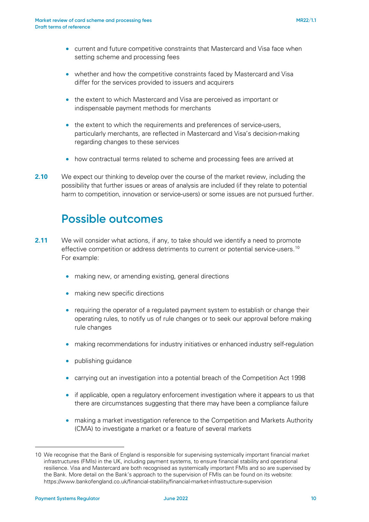- current and future competitive constraints that Mastercard and Visa face when setting scheme and processing fees
- whether and how the competitive constraints faced by Mastercard and Visa differ for the services provided to issuers and acquirers
- the extent to which Mastercard and Visa are perceived as important or indispensable payment methods for merchants
- the extent to which the requirements and preferences of service-users, particularly merchants, are reflected in Mastercard and Visa's decision-making regarding changes to these services
- how contractual terms related to scheme and processing fees are arrived at
- **2.10** We expect our thinking to develop over the course of the market review, including the possibility that further issues or areas of analysis are included (if they relate to potential harm to competition, innovation or service-users) or some issues are not pursued further.

## **Possible outcomes**

- **2.11** We will consider what actions, if any, to take should we identify a need to promote effective competition or address detriments to current or potential service-users.[10](#page-9-0) For example:
	- making new, or amending existing, general directions
	- making new specific directions
	- requiring the operator of a requlated payment system to establish or change their operating rules, to notify us of rule changes or to seek our approval before making rule changes
	- making recommendations for industry initiatives or enhanced industry self-regulation
	- publishing guidance
	- carrying out an investigation into a potential breach of the Competition Act 1998
	- if applicable, open a regulatory enforcement investigation where it appears to us that there are circumstances suggesting that there may have been a compliance failure
	- making a market investigation reference to the Competition and Markets Authority (CMA) to investigate a market or a feature of several markets

<span id="page-9-0"></span><sup>10</sup> We recognise that the Bank of England is responsible for supervising systemically important financial market infrastructures (FMIs) in the UK, including payment systems, to ensure financial stability and operational resilience. Visa and Mastercard are both recognised as systemically important FMIs and so are supervised by the Bank. More detail on the Bank's approach to the supervision of FMIs can be found on its website: https://www.bankofengland.co.uk/financial-stability/financial-market-infrastructure-supervision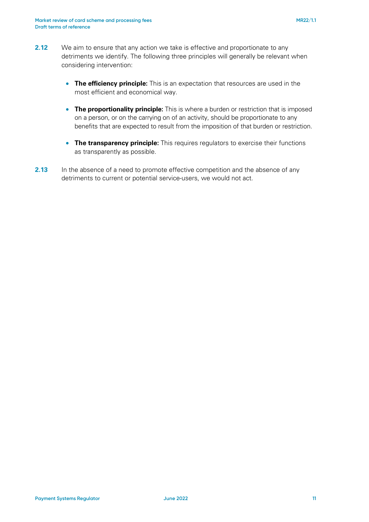- **2.12** We aim to ensure that any action we take is effective and proportionate to any detriments we identify. The following three principles will generally be relevant when considering intervention:
	- **The efficiency principle:** This is an expectation that resources are used in the most efficient and economical way.
	- **The proportionality principle:** This is where a burden or restriction that is imposed on a person, or on the carrying on of an activity, should be proportionate to any benefits that are expected to result from the imposition of that burden or restriction.
	- **The transparency principle:** This requires regulators to exercise their functions as transparently as possible.
- **2.13** In the absence of a need to promote effective competition and the absence of any detriments to current or potential service-users, we would not act.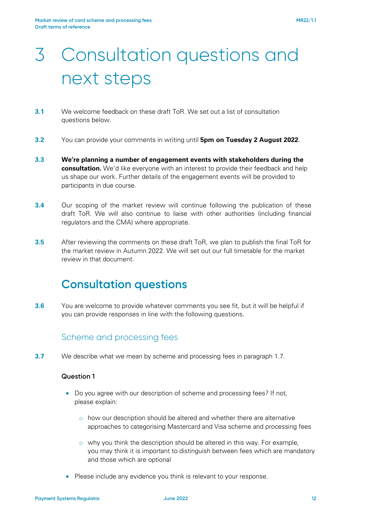# 3 Consultation questions and next steps

- **3.1** We welcome feedback on these draft ToR. We set out a list of consultation questions below.
- **3.2** You can provide your comments in writing until **5pm on Tuesday 2 August 2022**.
- **3.3 We're planning a number of engagement events with stakeholders during the consultation.** We'd like everyone with an interest to provide their feedback and help us shape our work. Further details of the engagement events will be provided to participants in due course.
- **3.4** Our scoping of the market review will continue following the publication of these draft ToR. We will also continue to liaise with other authorities (including financial regulators and the CMA) where appropriate.
- **3.5** After reviewing the comments on these draft ToR, we plan to publish the final ToR for the market review in Autumn 2022. We will set out our full timetable for the market review in that document.

# **Consultation questions**

**3.6** You are welcome to provide whatever comments you see fit, but it will be helpful if you can provide responses in line with the following questions.

## Scheme and processing fees

**3.7** We describe what we mean by scheme and processing fees in paragraph 1.7.

### **Question 1**

- Do you agree with our description of scheme and processing fees? If not, please explain:
	- o how our description should be altered and whether there are alternative approaches to categorising Mastercard and Visa scheme and processing fees
	- o why you think the description should be altered in this way. For example, you may think it is important to distinguish between fees which are mandatory and those which are optional
- Please include any evidence you think is relevant to your response.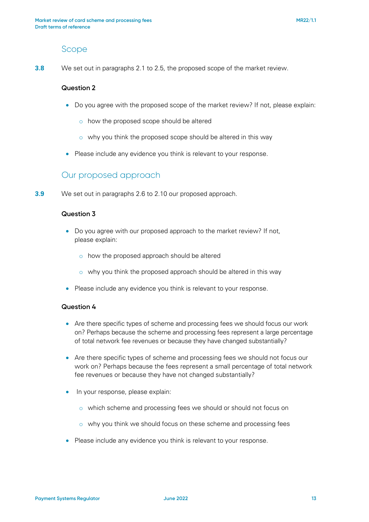### Scope

**3.8** We set out in paragraphs [2.1](#page-7-0) to 2.5, the proposed scope of the market review.

#### **Question 2**

- Do you agree with the proposed scope of the market review? If not, please explain:
	- o how the proposed scope should be altered
	- $\circ$  why you think the proposed scope should be altered in this way
- Please include any evidence you think is relevant to your response.

### Our proposed approach

**3.9** We set out in paragraphs 2.6 to 2.10 our proposed approach.

### **Question 3**

- Do you agree with our proposed approach to the market review? If not, please explain:
	- o how the proposed approach should be altered
	- o why you think the proposed approach should be altered in this way
- Please include any evidence you think is relevant to your response.

#### **Question 4**

- Are there specific types of scheme and processing fees we should focus our work on? Perhaps because the scheme and processing fees represent a large percentage of total network fee revenues or because they have changed substantially?
- Are there specific types of scheme and processing fees we should not focus our work on? Perhaps because the fees represent a small percentage of total network fee revenues or because they have not changed substantially?
- In your response, please explain:
	- o which scheme and processing fees we should or should not focus on
	- o why you think we should focus on these scheme and processing fees
- Please include any evidence you think is relevant to your response.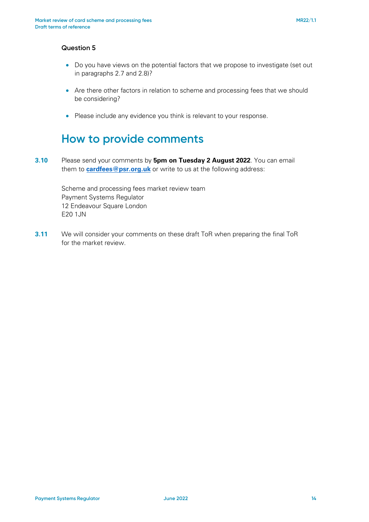#### **Question 5**

- Do you have views on the potential factors that we propose to investigate (set out in paragraphs 2.7 and 2.8)?
- Are there other factors in relation to scheme and processing fees that we should be considering?
- Please include any evidence you think is relevant to your response.

## **How to provide comments**

**3.10** Please send your comments by **5pm on Tuesday 2 August 2022**. You can email them to **[cardfees@psr.o](mailto:cardfees@psr.org.uk)rg.uk** or write to us at the following address:

> Scheme and processing fees market review team Payment Systems Regulator 12 Endeavour Square London E20 1JN

**3.11** We will consider your comments on these draft ToR when preparing the final ToR for the market review.